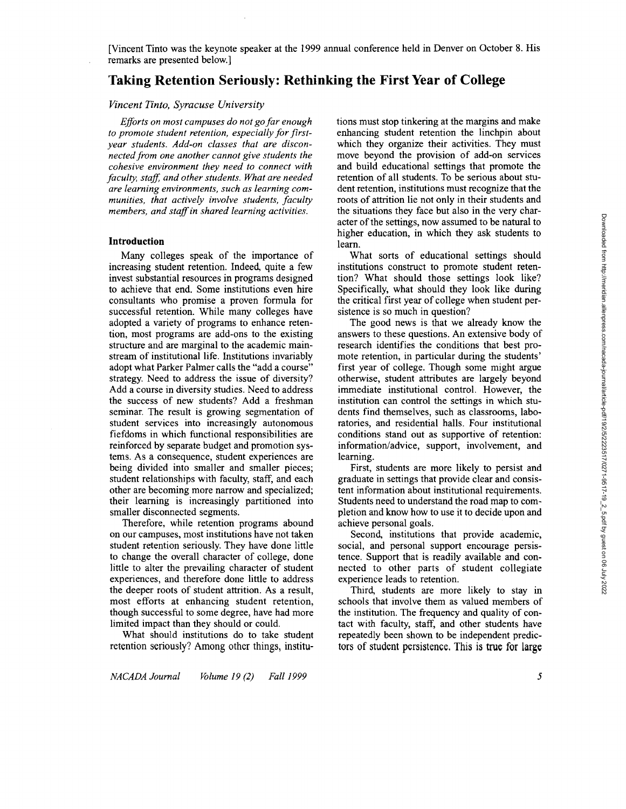# **Taking Retention Seriously: Rethinking the First Year of College**

# *Vincent Tinto, Syracuse University*

*Eforts on most campuses do not go far enough*  to promote student retention, especially for first*year students. Add-on classes that are disconnected from one another cannot give students the cohesive environment they need to connect with faculty, staff, and other students. What are needed are learning environments, such as learning communities, that actively involve students, faculty members, and staf in shared learning activities.* 

## **Introduction**

Many colleges speak of the importance of increasing student retention. Indeed, quite a few invest substantial resources in programs designed to achieve that end. Some institutions even hire consultants who promise a proven formula for successful retention. While many colleges have adopted a variety of programs to enhance retention, most programs are add-ons to the existing structure and are marginal to the academic mainstream of institutional life. Institutions invariably adopt what Parker Palmer calls the "add a course" strategy. Need to address the issue of diversity? Add a course in diversity studies. Need to address the success of new students? Add a freshman seminar. The result is growing segmentation of student services into increasingly autonomous fiefdoms in which functional responsibilities are reinforced by separate budget and promotion systems. As a consequence, student experiences are being divided into smaller and smaller pieces; student relationships with faculty, staff, and each other are becoming more narrow and specialized; their learning is increasingly partitioned into smaller disconnected segments.

Therefore, while retention programs abound on our campuses, most institutions have not taken student retention seriously. They have done little to change the overall character of college, done little to alter the prevailing character of student experiences, and therefore done little to address the deeper roots of student attrition. As a result, most efforts at enhancing student retention, though successful to some degree, have had more limited impact than they should or could.

What should institutions do to take student retention seriously? Among other things, institu-

tions must stop tinkering at the margins and make enhancing student retention the linchpin about which they organize their activities. They must move beyond the provision of add-on services and build educational settings that promote the retention of all students. To be serious about student retention, institutions must recognize that the roots of attrition lie not only in their students and the situations they face but also in the very character of the settings, now assumed to be natural to higher education, in which they ask students to learn.

What sorts of educational settings should institutions construct to promote student retention? What should those settings look like? Specifically, what should they look like during the critical first year of college when student persistence is so much in question?

The good news is that we already know the answers to these questions. An extensive body of research identifies the conditions that best promote retention, in particular during the students' first year of college. Though some might argue otherwise, student attributes are largely beyond immediate institutional control. However, the institution can control the settings in which students find themselves, such as classrooms, laboratories. and residential halls. Four institutional conditions stand out as supportive of retention: information/advice, support, involvement, and learning.

First, students are more likely to persist and graduate in settings that provide clear and consistent information about institutional requirements. Students need to understand the road map to completion and know how to use it to decide upon and achieve personal goals.

Second, institutions that provide academic, social, and personal support encourage persistence. Support that is readily available and connected to other parts of student collegiate experience leads to retention.

Third, students are more likely to stay in schools that involve them as valued members of the institution. The frequency and quality of contact with faculty, staff, and other students have repeatedly been shown to be independent predictors of student persistence. This is true for large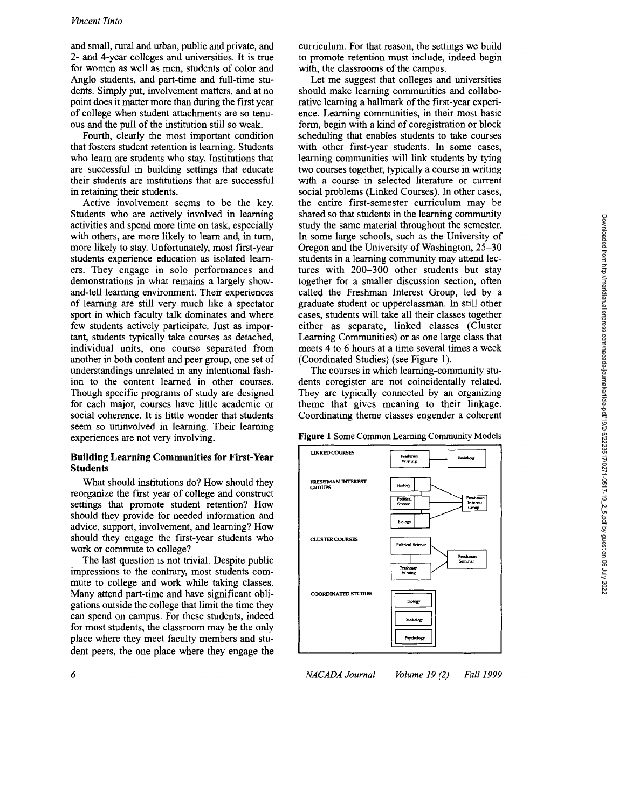and small, rural and urban, public and private, and **2-** and 4-year colleges and universities. It is true for women as well as men, students of color and Anglo students, and part-time and full-time students. Simply put, involvement matters, and at no point does it matter more than during the first year of college when student attachments are so tenuous and the pull of the institution still so weak.

Fourth, clearly the most important condition that fosters student retention is learning. Students who learn are students who stay. Institutions that are successful in building settings that educate their students are institutions that are successful in retaining their students.

Active involvement seems to be the key. Students who are actively involved in learning activities and spend more time on task, especially with others, are more likely to learn and, in turn, more likely to stay. Unfortunately, most first-year students experience education as isolated learners. They engage in solo performances and demonstrations in what remains a largely showand-tell learning environment. Their experiences of learning are still very much like a spectator sport in which faculty talk dominates and where few students actively participate. Just as important, students typically take courses as detached, individual units, one course separated from another in both content and peer group, one set of understandings unrelated in any intentional fashion to the content learned in other courses. Though specific programs of study are designed for each major, courses have little academic or social coherence. It is little wonder that students seem so uninvolved in learning. Their learning experiences are not very involving.

# **Building Learning Communities for First-Year Students**

What should institutions do? How should they reorganize the first year of college and construct settings that promote student retention? How should they provide for needed information and advice, support, involvement, and learning? How should they engage the first-year students who work or commute to college?

The last question is not trivial. Despite public impressions to the contrary, most students commute to college and work while taking classes. Many attend part-time and have significant obligations outside the college that limit the time they can spend on campus. For these students, indeed for most students, the classroom may be the only place where they meet faculty members and student peers, the one place where they engage the

curriculum. For that reason, the settings we build to promote retention must include, indeed begin with, the classrooms of the campus.

Let me suggest that colleges and universities should make learning communities and collaborative learning a hallmark of the first-year experience. Learning communities, in their most basic form, begin with a kind of coregistration or block scheduling that enables students to take courses with other first-year students. In some cases, learning communities will link students by tying two courses together, typically a course in writing with a course in selected literature or current social problems (Linked Courses). In other cases, the entire first-semester curriculum may be shared so that students in the learning community study the same material throughout the semester. In some large schools, such as the University of Oregon and the University of Washington, **25-30**  students in a learning community may attend lectures with **200-300** other students but stay together for a smaller discussion section, often called the Freshman Interest Group, led by a graduate student or upperclassman. In still other cases, students will take all their classes together either as separate, linked classes (Cluster Learning Communities) or as one large class that meets 4 to *6* hours at a time several times a week (Coordinated Studies) (see Figure 1).

The courses in which learning-community students coregister are not coincidentally related. They are typically connected by an organizing theme that gives meaning to their linkage. Coordinating theme classes engender a coherent

**Figure** 1 Some Common Learning Community Models

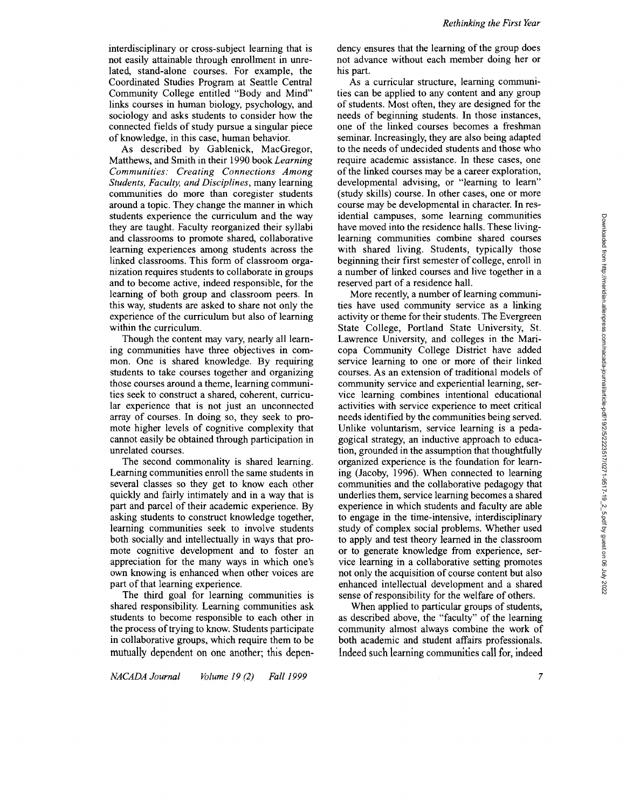interdisciplinary or cross-subject learning that is not easily attainable through enrollment in unrelated, stand-alone courses. For example, the Coordinated Studies Program at Seattle Central Community College entitled "Body and Mind" links courses in human biology, psychology, and sociology and asks students to consider how the connected fields of study pursue a singular piece of knowledge, in this case, human behavior.

As described by Gablenick, MacGregor, Matthews, and Smith in their 1990 book *Learning Communities: Creating Connections Among Students, Faculty, and Disciplines,* many learning communities do more than coregister students around a topic. They change the manner in which students experience the curriculum and the way they are taught. Faculty reorganized their syllabi and classrooms to promote shared, collaborative learning experiences among students across the linked classrooms. This form of classroom organization requires students to collaborate in groups and to become active, indeed responsible, for the learning of both group and classroom peers. In this way, students are asked to share not only the experience of the curriculum but also of learning within the curriculum.

Though the content may vary, nearly all learning communities have three objectives in common. One is shared knowledge. By requiring students to take courses together and organizing those courses around a theme, learning communities seek to construct a shared, coherent, curricular experience that is not just an unconnected array of courses. In doing so, they seek to promote higher levels of cognitive complexity that cannot easily be obtained through participation in unrelated courses.

The second commonality is shared learning. Learning communities enroll the same students in several classes so they get to know each other quickly and fairly intimately and in a way that is part and parcel of their academic experience. By asking students to construct knowledge together, learning communities seek to involve students both socially and intellectually in ways that promote cognitive development and to foster an appreciation for the many ways in which one's own knowing is enhanced when other voices are part of that learning experience.

The third goal for learning communities is shared responsibility. Learning communities ask students to become responsible to each other in the process of trying to know. Students participate in collaborative groups, which require them to be mutually dependent on one another; this dependency ensures that the learning of the group does not advance without each member doing her or his part.

As a curricular structure, learning communities can be applied to any content and any group of students. Most often, they are designed for the needs of beginning students. In those instances, one of the linked courses becomes a freshman seminar. Increasingly, they are also being adapted to the needs of undecided students and those who require academic assistance. In these cases, one of the linked courses may be a career exploration, developmental advising, or "learning to learn" (study skills) course. In other cases, one or more course may be developmental in character. In residential campuses, some learning communities have moved into the residence halls. These livinglearning communities combine shared courses with shared living. Students, typically those beginning their first semester of college, enroll in a number of linked courses and live together in a reserved part of a residence hall.

More recently, a number of learning communities have used community service as a linking activity or theme for their students. The Evergreen State College, Portland State University, St. Lawrence University, and colleges in the Maricopa Community College District have added service learning to one or more of their linked courses. As an extension of traditional models of community service and experiential learning, service learning combines intentional educational activities with service experience to meet critical needs identified by the communities being served. Unlike voluntarism, service learning is a pedagogical strategy, an inductive approach to education, grounded in the assumption that thoughtfully organized experience is the foundation for learning (Jacoby, 1996). When connected to learning communities and the collaborative pedagogy that underlies them, service learning becomes a shared experience in which students and faculty are able to engage in the time-intensive, interdisciplinary study of complex social problems. Whether used to apply and test theory learned in the classroom or to generate knowledge from experience, service learning in a collaborative setting promotes not only the acquisition of course content but also enhanced intellectual development and a shared sense of responsibility for the welfare of others.

When applied to particular groups of students, as described above, the "faculty" of the learning community almost always combine the work of both academic and student affairs professionals. Indeed such learning communities call for, indeed

 $\overline{7}$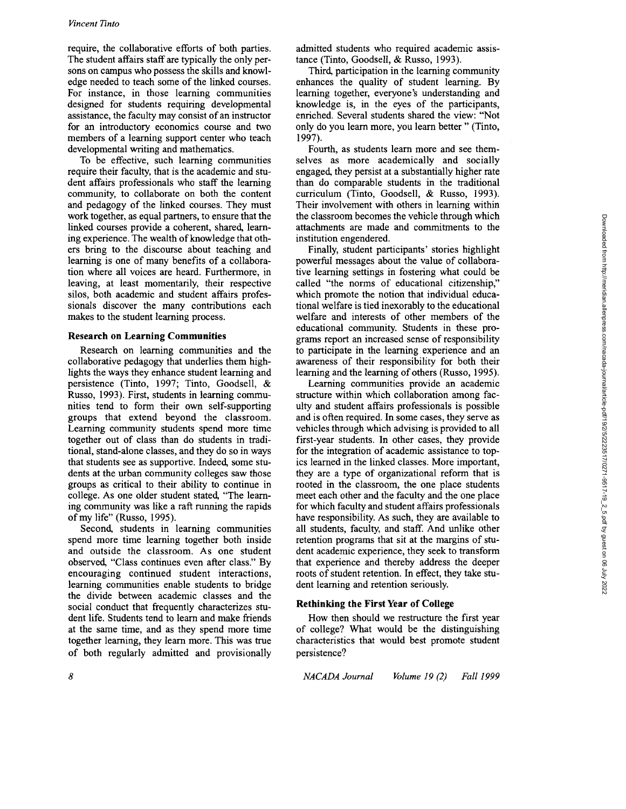require, the collaborative efforts of both parties. The student affairs staff are typically the only persons on campus who possess the skills and knowledge needed to teach some of the linked courses. For instance, in those learning communities designed for students requiring developmental assistance, the faculty may consist of an instructor for an introductory economics course and two members of a learning support center who teach developmental writing and mathematics.

To be effective, such learning communities require their faculty, that is the academic and student affairs professionals who staff the learning community, to collaborate on both the content and pedagogy of the linked courses. They must work together, as equal partners, to ensure that the linked courses provide a coherent, shared, learning experience. The wealth of knowledge that others bring to the discourse about teaching and learning is one of many benefits of a collaboration where all voices are heard. Furthermore, in leaving, at least momentarily, their respective silos, both academic and student affairs professionals discover the many contributions each makes to the student learning process.

## **Research on Learning Communities**

Research on learning communities and the collaborative pedagogy that underlies them highlights the ways they enhance student learning and persistence (Tinto, 1997; Tinto, Goodsell, & Russo, 1993). First, students in learning communities tend to form their own self-supporting groups that extend beyond the classroom. Learning community students spend more time together out of class than do students in traditional, stand-alone classes, and they do so in ways that students see as supportive. Indeed, some students at the urban community colleges saw those groups as critical to their ability to continue in college. As one older student stated, "The learning community was like a raft running the rapids of my life" (Russo, 1995).

Second, students in learning communities spend more time learning together both inside and outside the classroom. As one student observed, "Class continues even after class." By encouraging continued student interactions, learning communities enable students to bridge the divide between academic classes and the social conduct that frequently characterizes student life. Students tend to learn and make friends at the same time, and as they spend more time together learning, they learn more. This was true of both regularly admitted and provisionally admitted students who required academic assistance (Tinto, Goodsell, & Russo, 1993).

Third, participation in the learning community enhances the quality of student learning. By learning together, everyone's understanding and knowledge is, in the eyes of the participants, enriched. Several students shared the view: "Not only do you learn more, you learn better " (Tinto, 1997).

Fourth, as students learn more and see themselves as more academically and socially engaged, they persist at a substantially higher rate than do comparable students in the traditional curriculum (Tinto, Goodsell, & Russo, 1993). Their involvement with others in learning within the classroom becomes the vehicle through which attachments are made and commitments to the institution engendered.

Finally, student participants' stories highlight powerful messages about the value of collaborative learning settings in fostering what could be called "the norms of educational citizenship," which promote the notion that individual educational welfare is tied inexorably to the educational welfare and interests of other members of the educational community. Students in these programs report an increased sense of responsibility to participate in the learning experience and an awareness of their responsibility for both their learning and the learning of others (Russo, 1995).

Learning communities provide an academic structure within which collaboration among faculty and student affairs professionals is possible and is often required. In some cases, they serve as vehicles through which advising is provided to all first-year students. In other cases, they provide for the integration of academic assistance to topics learned in the linked classes. More important, they are a type of organizational reform that is rooted in the classroom, the one place students meet each other and the faculty and the one place for which faculty and student affairs professionals have responsibility. As such, they are available to all students, faculty, and staff. And unlike other retention programs that sit at the margins of student academic experience, they seek to transform that experience and thereby address the deeper roots of student retention. In effect, they take student learning and retention seriously.

#### **Rethinking the First Year of College**

How then should we restructure the first year of college? What would be the distinguishing characteristics that would best promote student persistence?

*NACADA Journal Volume* 19 *(2) Fall* 1999